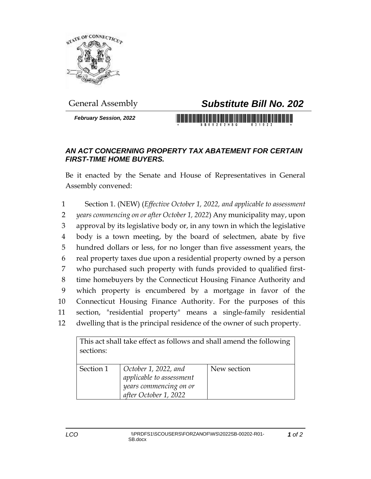

## General Assembly *Substitute Bill No. 202*

*February Session, 2022*

## *AN ACT CONCERNING PROPERTY TAX ABATEMENT FOR CERTAIN FIRST-TIME HOME BUYERS.*

Be it enacted by the Senate and House of Representatives in General Assembly convened:

 Section 1. (NEW) (*Effective October 1, 2022, and applicable to assessment years commencing on or after October 1, 2022*) Any municipality may, upon approval by its legislative body or, in any town in which the legislative body is a town meeting, by the board of selectmen, abate by five hundred dollars or less, for no longer than five assessment years, the real property taxes due upon a residential property owned by a person who purchased such property with funds provided to qualified first- time homebuyers by the Connecticut Housing Finance Authority and which property is encumbered by a mortgage in favor of the Connecticut Housing Finance Authority. For the purposes of this section, "residential property" means a single-family residential dwelling that is the principal residence of the owner of such property.

| This act shall take effect as follows and shall amend the following<br>sections: |                                                                                                     |             |
|----------------------------------------------------------------------------------|-----------------------------------------------------------------------------------------------------|-------------|
|                                                                                  |                                                                                                     |             |
| Section 1                                                                        | October 1, 2022, and<br>applicable to assessment<br>years commencing on or<br>after October 1, 2022 | New section |

*1 of 2*